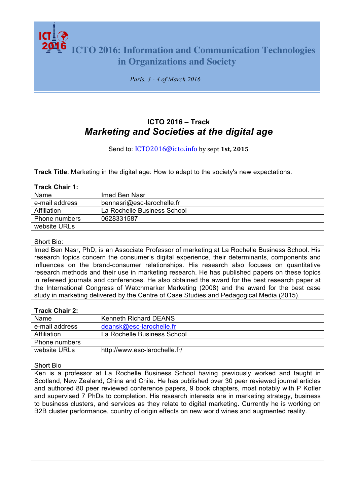**ICTO 2016: Information and Communication Technologies in Organizations and Society**

*Paris, 3 - 4 of March 2016*

# **ICTO 2016 – Track** *Marketing and Societies at the digital age*

## Send to: ICT02016@icto.info by sept 1st, 2015

**Track Title**: Marketing in the digital age: How to adapt to the society's new expectations.

#### **Track Chair 1:**

| Name           | Imed Ben Nasr               |
|----------------|-----------------------------|
| e-mail address | bennasri@esc-larochelle.fr  |
| Affiliation    | La Rochelle Business School |
| Phone numbers  | 0628331587                  |
| website URLs   |                             |

#### Short Bio:

Imed Ben Nasr, PhD, is an Associate Professor of marketing at La Rochelle Business School. His research topics concern the consumer's digital experience, their determinants, components and influences on the brand-consumer relationships. His research also focuses on quantitative research methods and their use in marketing research. He has published papers on these topics in refereed journals and conferences. He also obtained the award for the best research paper at the International Congress of Watchmarker Marketing (2008) and the award for the best case study in marketing delivered by the Centre of Case Studies and Pedagogical Media (2015).

#### **Track Chair 2:**

| Name           | <b>Kenneth Richard DEANS</b>  |
|----------------|-------------------------------|
| e-mail address | deansk@esc-larochelle.fr      |
| Affiliation    | La Rochelle Business School   |
| Phone numbers  |                               |
| website URLs   | http://www.esc-larochelle.fr/ |

#### Short Bio

Ken is a professor at La Rochelle Business School having previously worked and taught in Scotland, New Zealand, China and Chile. He has published over 30 peer reviewed journal articles and authored 80 peer reviewed conference papers, 9 book chapters, most notably with P Kotler and supervised 7 PhDs to completion. His research interests are in marketing strategy, business to business clusters, and services as they relate to digital marketing. Currently he is working on B2B cluster performance, country of origin effects on new world wines and augmented reality.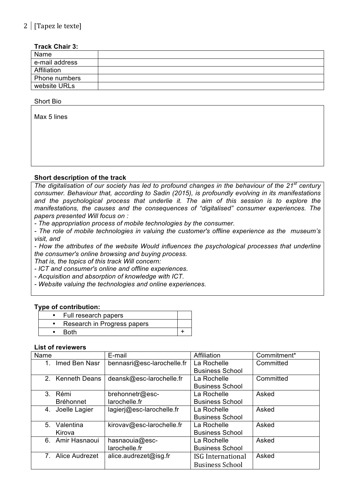# $2$  | [Tapez le texte]

## **Track Chair 3:**

| Name           |  |
|----------------|--|
| e-mail address |  |
| Affiliation    |  |
| Phone numbers  |  |
| website URLs   |  |

#### Short Bio

Max 5 lines

## **Short description of the track**

*The digitalisation of our society has led to profound changes in the behaviour of the 21st century consumer. Behaviour that, according to Sadin (2015), is profoundly evolving in its manifestations and the psychological process that underlie it. The aim of this session is to explore the manifestations, the causes and the consequences of "digitalised" consumer experiences. The papers presented Will focus on :*

*- The appropriation process of mobile technologies by the consumer.* 

*- The role of mobile technologies in valuing the customer's offline experience as the museum's visit, and* 

*- How the attributes of the website Would influences the psychological processes that underline the consumer's online browsing and buying process.*

*That is, the topics of this track Will concern:* 

*- ICT and consumer's online and offline experiences.* 

*- Acquisition and absorption of knowledge with ICT.* 

*- Website valuing the technologies and online experiences.*

#### **Type of contribution:**

| Full research papers        |  |
|-----------------------------|--|
| Research in Progress papers |  |
| <b>Roth</b>                 |  |

#### **List of reviewers**

| E-mail                     | Affiliation            | Commitment* |
|----------------------------|------------------------|-------------|
| bennasri@esc-larochelle.fr | La Rochelle            | Committed   |
|                            | <b>Business School</b> |             |
| deansk@esc-larochelle.fr   | La Rochelle            | Committed   |
|                            | <b>Business School</b> |             |
| brehonnetr@esc-            | La Rochelle            | Asked       |
| larochelle.fr              | <b>Business School</b> |             |
| lagierj@esc-larochelle.fr  | La Rochelle            | Asked       |
|                            | <b>Business School</b> |             |
| kirovav@esc-larochelle.fr  | La Rochelle            | Asked       |
|                            | <b>Business School</b> |             |
| hasnaouia@esc-             | La Rochelle            | Asked       |
| larochelle.fr              | <b>Business School</b> |             |
| alice.audrezet@isg.fr      | ISG International      | Asked       |
|                            | <b>Business School</b> |             |
|                            |                        |             |